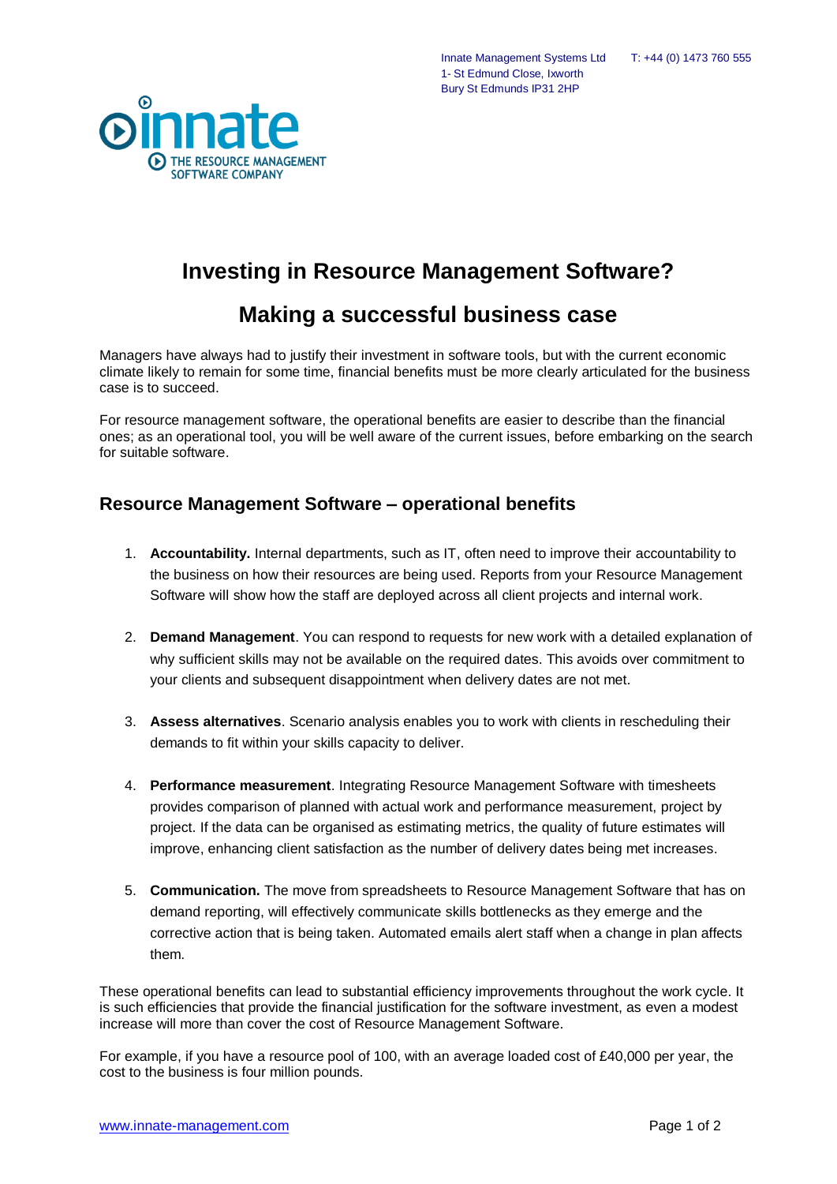$\odot$ **D** THE RESOURCE MANAGEMENT SOFTWARE COMPANY

Innate Management Systems Ltd T: +44 (0) 1473 760 555 1- St Edmund Close, Ixworth Bury St Edmunds IP31 2HP

## **Investing in Resource Management Software?**

## **Making a successful business case**

Managers have always had to justify their investment in software tools, but with the current economic climate likely to remain for some time, financial benefits must be more clearly articulated for the business case is to succeed.

For resource management software, the operational benefits are easier to describe than the financial ones; as an operational tool, you will be well aware of the current issues, before embarking on the search for suitable software.

## **Resource Management Software – operational benefits**

- 1. **Accountability.** Internal departments, such as IT, often need to improve their accountability to the business on how their resources are being used. Reports from your Resource Management Software will show how the staff are deployed across all client projects and internal work.
- 2. **Demand Management**. You can respond to requests for new work with a detailed explanation of why sufficient skills may not be available on the required dates. This avoids over commitment to your clients and subsequent disappointment when delivery dates are not met.
- 3. **Assess alternatives**. Scenario analysis enables you to work with clients in rescheduling their demands to fit within your skills capacity to deliver.
- 4. **Performance measurement**. Integrating Resource Management Software with timesheets provides comparison of planned with actual work and performance measurement, project by project. If the data can be organised as estimating metrics, the quality of future estimates will improve, enhancing client satisfaction as the number of delivery dates being met increases.
- 5. **Communication.** The move from spreadsheets to Resource Management Software that has on demand reporting, will effectively communicate skills bottlenecks as they emerge and the corrective action that is being taken. Automated emails alert staff when a change in plan affects them.

These operational benefits can lead to substantial efficiency improvements throughout the work cycle. It is such efficiencies that provide the financial justification for the software investment, as even a modest increase will more than cover the cost of Resource Management Software.

For example, if you have a resource pool of 100, with an average loaded cost of £40,000 per year, the cost to the business is four million pounds.